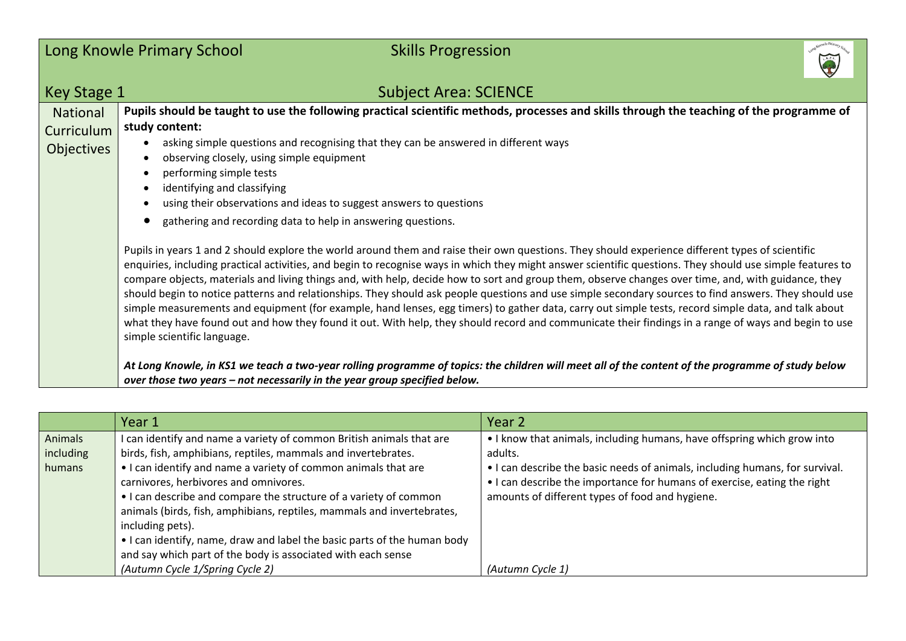|                                                              | Long Knowle Primary School<br><b>Skills Progression</b>                                                                                                                                                                                                                                                                                                                                                                                                                                                                                                                                                                                                                                                                                                                                                                                                                                                                                                                      |  |  |
|--------------------------------------------------------------|------------------------------------------------------------------------------------------------------------------------------------------------------------------------------------------------------------------------------------------------------------------------------------------------------------------------------------------------------------------------------------------------------------------------------------------------------------------------------------------------------------------------------------------------------------------------------------------------------------------------------------------------------------------------------------------------------------------------------------------------------------------------------------------------------------------------------------------------------------------------------------------------------------------------------------------------------------------------------|--|--|
| Key Stage 1                                                  | <b>Subject Area: SCIENCE</b>                                                                                                                                                                                                                                                                                                                                                                                                                                                                                                                                                                                                                                                                                                                                                                                                                                                                                                                                                 |  |  |
| <b>National</b>                                              | Pupils should be taught to use the following practical scientific methods, processes and skills through the teaching of the programme of                                                                                                                                                                                                                                                                                                                                                                                                                                                                                                                                                                                                                                                                                                                                                                                                                                     |  |  |
| Curriculum                                                   | study content:                                                                                                                                                                                                                                                                                                                                                                                                                                                                                                                                                                                                                                                                                                                                                                                                                                                                                                                                                               |  |  |
| Objectives                                                   | asking simple questions and recognising that they can be answered in different ways                                                                                                                                                                                                                                                                                                                                                                                                                                                                                                                                                                                                                                                                                                                                                                                                                                                                                          |  |  |
|                                                              | observing closely, using simple equipment<br>performing simple tests                                                                                                                                                                                                                                                                                                                                                                                                                                                                                                                                                                                                                                                                                                                                                                                                                                                                                                         |  |  |
|                                                              | identifying and classifying                                                                                                                                                                                                                                                                                                                                                                                                                                                                                                                                                                                                                                                                                                                                                                                                                                                                                                                                                  |  |  |
|                                                              | using their observations and ideas to suggest answers to questions                                                                                                                                                                                                                                                                                                                                                                                                                                                                                                                                                                                                                                                                                                                                                                                                                                                                                                           |  |  |
| gathering and recording data to help in answering questions. |                                                                                                                                                                                                                                                                                                                                                                                                                                                                                                                                                                                                                                                                                                                                                                                                                                                                                                                                                                              |  |  |
|                                                              | Pupils in years 1 and 2 should explore the world around them and raise their own questions. They should experience different types of scientific<br>enquiries, including practical activities, and begin to recognise ways in which they might answer scientific questions. They should use simple features to<br>compare objects, materials and living things and, with help, decide how to sort and group them, observe changes over time, and, with guidance, they<br>should begin to notice patterns and relationships. They should ask people questions and use simple secondary sources to find answers. They should use<br>simple measurements and equipment (for example, hand lenses, egg timers) to gather data, carry out simple tests, record simple data, and talk about<br>what they have found out and how they found it out. With help, they should record and communicate their findings in a range of ways and begin to use<br>simple scientific language. |  |  |
|                                                              | At Long Knowle, in KS1 we teach a two-year rolling programme of topics: the children will meet all of the content of the programme of study below<br>over those two years - not necessarily in the year group specified below.                                                                                                                                                                                                                                                                                                                                                                                                                                                                                                                                                                                                                                                                                                                                               |  |  |

|                | Year 1                                                                   | Year 2                                                                       |
|----------------|--------------------------------------------------------------------------|------------------------------------------------------------------------------|
| <b>Animals</b> | I can identify and name a variety of common British animals that are     | • I know that animals, including humans, have offspring which grow into      |
| including      | birds, fish, amphibians, reptiles, mammals and invertebrates.            | adults.                                                                      |
| humans         | • I can identify and name a variety of common animals that are           | • I can describe the basic needs of animals, including humans, for survival. |
|                | carnivores, herbivores and omnivores.                                    | • I can describe the importance for humans of exercise, eating the right     |
|                | • I can describe and compare the structure of a variety of common        | amounts of different types of food and hygiene.                              |
|                | animals (birds, fish, amphibians, reptiles, mammals and invertebrates,   |                                                                              |
|                | including pets).                                                         |                                                                              |
|                | • I can identify, name, draw and label the basic parts of the human body |                                                                              |
|                | and say which part of the body is associated with each sense             |                                                                              |
|                | (Autumn Cycle 1/Spring Cycle 2)                                          | (Autumn Cycle 1)                                                             |